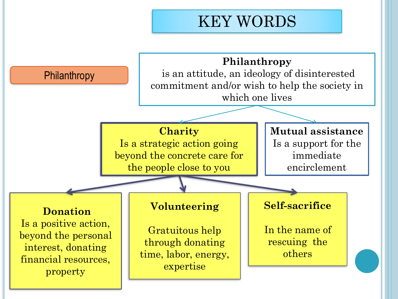# KEY WORDS

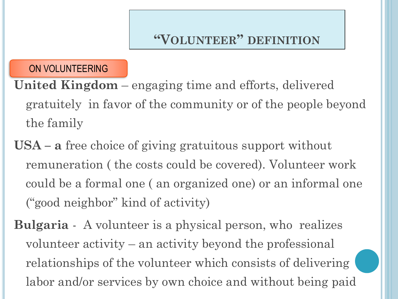## **"VOLUNTEER" DEFINITION**

ON VOLUNTEERING

**United Kingdom** – engaging time and efforts, delivered gratuitely in favor of the community or of the people beyond the family

**USA – a** free choice of giving gratuitous support without remuneration ( the costs could be covered). Volunteer work could be a formal one ( an organized one) or an informal one ("good neighbor" kind of activity)

**Bulgaria** - A volunteer is a physical person, who realizes volunteer activity – an activity beyond the professional relationships of the volunteer which consists of delivering labor and/or services by own choice and without being paid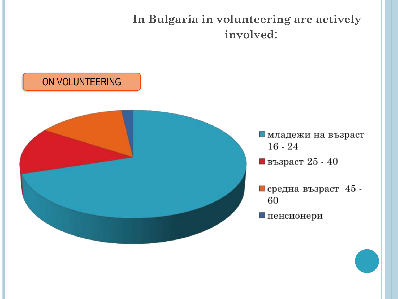**In Bulgaria in volunteering are actively involved**:

# ON VOLUNTEERING



- иладежи на възраст  $16 - 24$
- $\blacksquare$  възраст 25 40
- $\blacksquare$  средна възраст 45 -60
- Пенсионери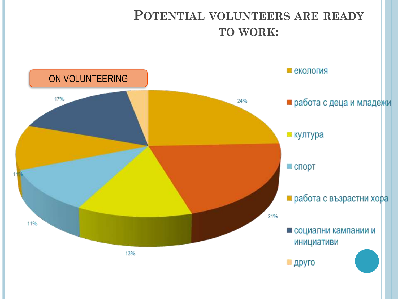## **POTENTIAL VOLUNTEERS ARE READY TO WORK:**

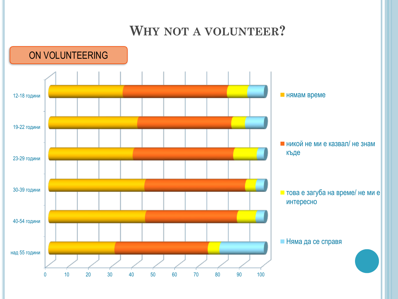## **WHY NOT A VOLUNTEER?**

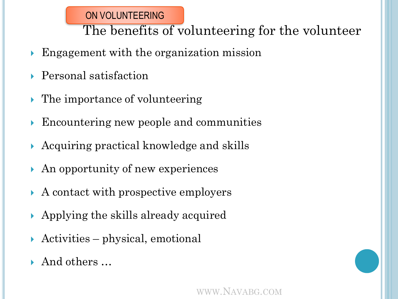#### ON VOLUNTEERING

The benefits of volunteering for the volunteer

- Engagement with the organization mission
- Personal satisfaction
- **► The importance of volunteering**
- Encountering new people and communities
- Acquiring practical knowledge and skills
- An opportunity of new experiences
- A contact with prospective employers
- Applying the skills already acquired
- Activities physical, emotional
- And others …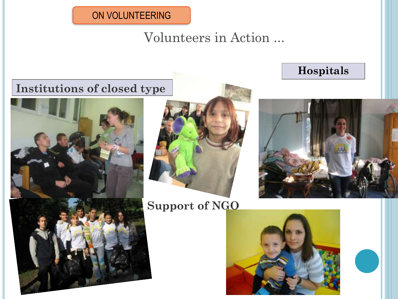#### ON VOLUNTEERING

Volunteers in Action ...

### **Institutions of closed type**





### **Support of NGO**





**Hospitals**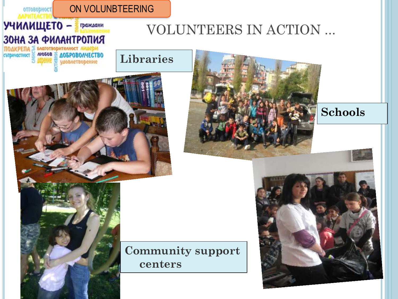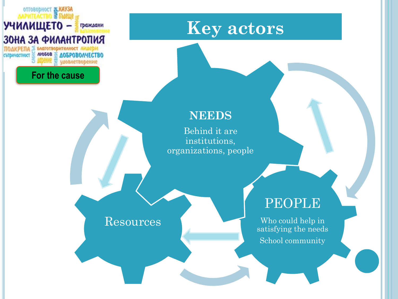